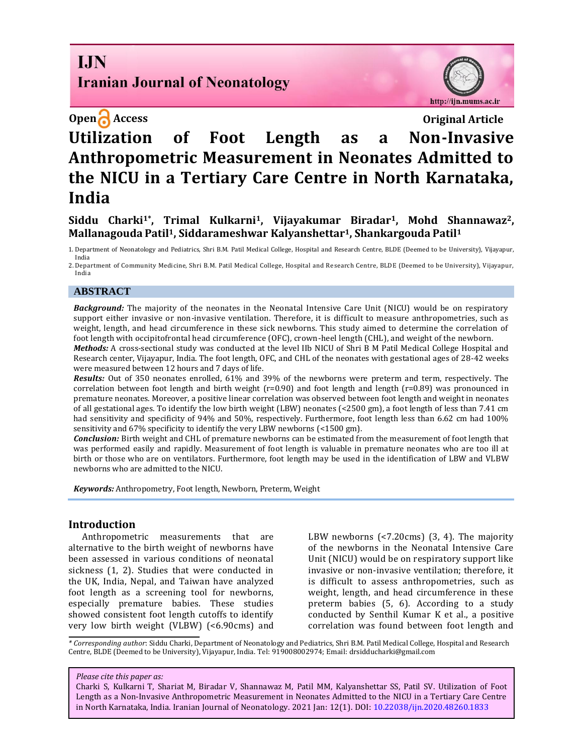# **I.IN Iranian Journal of Neonatology**



# **Open Access Original Article Utilization of Foot Length as a Non-Invasive Anthropometric Measurement in Neonates Admitted to the NICU in a Tertiary Care Centre in North Karnataka, India**

# **Siddu Charki1\*, Trimal Kulkarni1, Vijayakumar Biradar1, Mohd Shannawaz2, Mallanagouda Patil1, Siddarameshwar Kalyanshettar1, Shankargouda Patil<sup>1</sup>**

1. Department of Neonatology and Pediatrics, Shri B.M. Patil Medical College, Hospital and Research Centre, BLDE (Deemed to be University), Vijayapur, India

2. Department of Community Medicine, Shri B.M. Patil Medical College, Hospital and Research Centre, BLDE (Deemed to be University), Vijayapur, India

### **ABSTRACT**

*Background:* The majority of the neonates in the Neonatal Intensive Care Unit (NICU) would be on respiratory support either invasive or non-invasive ventilation. Therefore, it is difficult to measure anthropometries, such as weight, length, and head circumference in these sick newborns. This study aimed to determine the correlation of foot length with occipitofrontal head circumference (OFC), crown-heel length (CHL), and weight of the newborn.

*Methods:* A cross-sectional study was conducted at the level IIb NICU of Shri B M Patil Medical College Hospital and Research center, Vijayapur, India. The foot length, OFC, and CHL of the neonates with gestational ages of 28-42 weeks were measured between 12 hours and 7 days of life.

*Results:* Out of 350 neonates enrolled, 61% and 39% of the newborns were preterm and term, respectively. The correlation between foot length and birth weight (r=0.90) and foot length and length (r=0.89) was pronounced in premature neonates. Moreover, a positive linear correlation was observed between foot length and weight in neonates of all gestational ages. To identify the low birth weight (LBW) neonates (<2500 gm), a foot length of less than 7.41 cm had sensitivity and specificity of 94% and 50%, respectively. Furthermore, foot length less than 6.62 cm had 100% sensitivity and 67% specificity to identify the very LBW newborns (<1500 gm).

*Conclusion:* Birth weight and CHL of premature newborns can be estimated from the measurement of foot length that was performed easily and rapidly. Measurement of foot length is valuable in premature neonates who are too ill at birth or those who are on ventilators. Furthermore, foot length may be used in the identification of LBW and VLBW newborns who are admitted to the NICU.

*Keywords:* Anthropometry, Foot length, Newborn, Preterm, Weight

#### **Introduction**

Anthropometric measurements that are alternative to the birth weight of newborns have been assessed in various conditions of neonatal sickness (1, 2). Studies that were conducted in the UK, India, Nepal, and Taiwan have analyzed foot length as a screening tool for newborns, especially premature babies. These studies showed consistent foot length cutoffs to identify very low birth weight (VLBW) (<6.90cms) and LBW newborns (<7.20cms) (3, 4). The majority of the newborns in the Neonatal Intensive Care Unit (NICU) would be on respiratory support like invasive or non-invasive ventilation; therefore, it is difficult to assess anthropometries, such as weight, length, and head circumference in these preterm babies (5, 6). According to a study conducted by Senthil Kumar K et al., a positive correlation was found between foot length and

*\* Corresponding author*: Siddu Charki, Department of Neonatology and Pediatrics, Shri B.M. Patil Medical College, Hospital and Research Centre, BLDE (Deemed to be University), Vijayapur, India. Tel: 919008002974; Email: drsidducharki@gmail.com

#### *Please cite this paper as:*

Charki S, Kulkarni T, Shariat M, Biradar V, Shannawaz M, Patil MM, Kalyanshettar SS, Patil SV. Utilization of Foot Length as a Non-Invasive Anthropometric Measurement in Neonates Admitted to the NICU in a Tertiary Care Centre in North Karnataka, India. Iranian Journal of Neonatology. 2021 Jan: 12(1). DOI: 10.22038/ijn.2020.48260.1833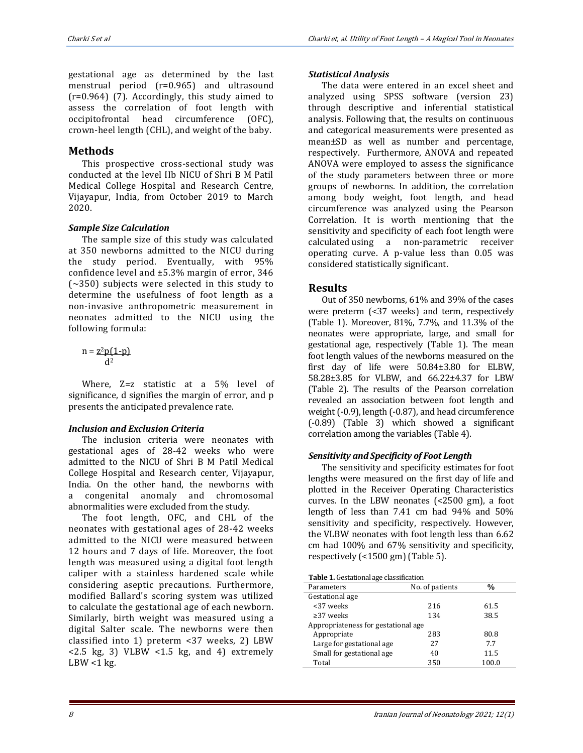gestational age as determined by the last menstrual period (r=0.965) and ultrasound (r=0.964) (7). Accordingly, this study aimed to assess the correlation of foot length with occipitofrontal head circumference (OFC), crown-heel length (CHL), and weight of the baby.

# **Methods**

This prospective cross-sectional study was conducted at the level IIb NICU of Shri B M Patil Medical College Hospital and Research Centre, Vijayapur, India, from October 2019 to March 2020.

# *Sample Size Calculation*

The sample size of this study was calculated at 350 newborns admitted to the NICU during the study period. Eventually, with 95% confidence level and ±5.3% margin of error, 346 (~350) subjects were selected in this study to determine the usefulness of foot length as a non-invasive anthropometric measurement in neonates admitted to the NICU using the following formula:

$$
n = \frac{z^2 p(1-p)}{d^2}
$$

Where, Z=z statistic at a 5% level of significance, d signifies the margin of error, and p presents the anticipated prevalence rate.

# *Inclusion and Exclusion Criteria*

The inclusion criteria were neonates with gestational ages of 28-42 weeks who were admitted to the NICU of Shri B M Patil Medical College Hospital and Research center, Vijayapur, India. On the other hand, the newborns with a congenital anomaly and chromosomal abnormalities were excluded from the study.

The foot length, OFC, and CHL of the neonates with gestational ages of 28-42 weeks admitted to the NICU were measured between 12 hours and 7 days of life. Moreover, the foot length was measured using a digital foot length caliper with a stainless hardened scale while considering aseptic precautions. Furthermore, modified Ballard's scoring system was utilized to calculate the gestational age of each newborn. Similarly, birth weight was measured using a digital Salter scale. The newborns were then classified into 1) preterm <37 weeks, 2) LBW  $<$  2.5 kg, 3) VLBW  $<$  1.5 kg, and 4) extremely  $LBW < 1$  kg.

# *Statistical Analysis*

The data were entered in an excel sheet and analyzed using SPSS software (version 23) through descriptive and inferential statistical analysis. Following that, the results on continuous and categorical measurements were presented as mean±SD as well as number and percentage, respectively. Furthermore, ANOVA and repeated ANOVA were employed to assess the significance of the study parameters between three or more groups of newborns. In addition, the correlation among body weight, foot length, and head circumference was analyzed using the Pearson Correlation. It is worth mentioning that the sensitivity and specificity of each foot length were calculated using a non-parametric receiver operating curve. A p-value less than 0.05 was considered statistically significant.

# **Results**

Out of 350 newborns, 61% and 39% of the cases were preterm (<37 weeks) and term, respectively (Table 1). Moreover, 81%, 7.7%, and 11.3% of the neonates were appropriate, large, and small for gestational age, respectively (Table 1). The mean foot length values of the newborns measured on the first day of life were 50.84±3.80 for ELBW, 58.28±3.85 for VLBW, and 66.22±4.37 for LBW (Table 2). The results of the Pearson correlation revealed an association between foot length and weight (-0.9), length (-0.87), and head circumference (-0.89) (Table 3) which showed a significant correlation among the variables (Table 4).

## *Sensitivity and Specificity of Foot Length*

The sensitivity and specificity estimates for foot lengths were measured on the first day of life and plotted in the Receiver Operating Characteristics curves. In the LBW neonates (<2500 gm), a foot length of less than 7.41 cm had 94% and 50% sensitivity and specificity, respectively. However, the VLBW neonates with foot length less than 6.62 cm had 100% and 67% sensitivity and specificity, respectively (<1500 gm) (Table 5).

**Table 1.** Gestational age classification

| ີ<br>Parameters                     | No. of patients | $\frac{0}{0}$ |
|-------------------------------------|-----------------|---------------|
| Gestational age                     |                 |               |
| <37 weeks                           | 216             | 61.5          |
| $\geq$ 37 weeks                     | 134             | 38.5          |
| Appropriateness for gestational age |                 |               |
| Appropriate                         | 283             | 80.8          |
| Large for gestational age           | 27              | 7.7           |
| Small for gestational age           | 40              | 11.5          |
| Total                               | 350             | 100.0         |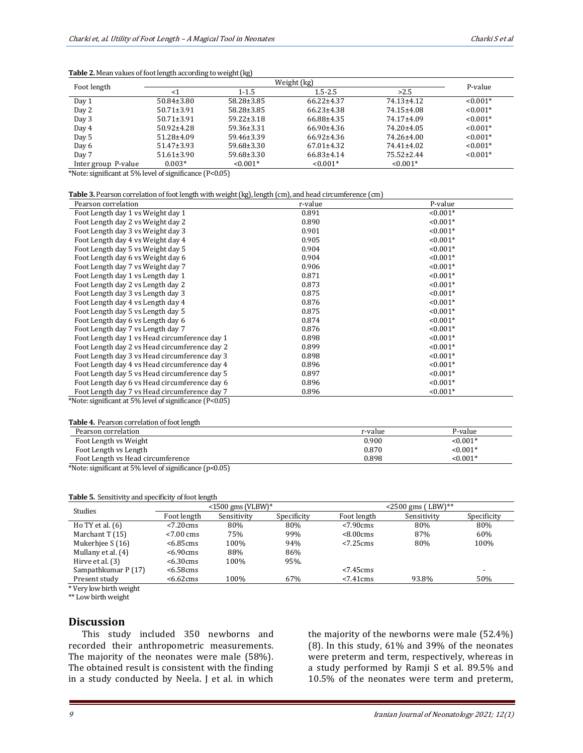| Foot length         |                  | P-value          |                  |                  |            |
|---------------------|------------------|------------------|------------------|------------------|------------|
|                     | $\leq$ 1         | $1 - 1.5$        |                  | >2.5             |            |
| Day 1               | $50.84 \pm 3.80$ | $58.28 \pm 3.85$ | $66.22 \pm 4.37$ | 74.13±4.12       | $< 0.001*$ |
| Day 2               | $50.71 \pm 3.91$ | 58.28±3.85       | $66.23 \pm 4.38$ | 74.15±4.08       | $< 0.001*$ |
| Day 3               | $50.71 \pm 3.91$ | $59.22 \pm 3.18$ | 66.88±4.35       | 74.17±4.09       | $< 0.001*$ |
| Day 4               | $50.92 \pm 4.28$ | $59.36 \pm 3.31$ | 66.90±4.36       | 74.20±4.05       | $< 0.001*$ |
| Day 5               | $51.28 \pm 4.09$ | 59.46±3.39       | $66.92 \pm 4.36$ | 74.26±4.00       | $< 0.001*$ |
| Day 6               | $51.47 \pm 3.93$ | $59.68 \pm 3.30$ | $67.01 \pm 4.32$ | $74.41 \pm 4.02$ | $< 0.001*$ |
| Day 7               | $51.61 \pm 3.90$ | $59.68 \pm 3.30$ | $66.83\pm4.14$   | $75.52 \pm 2.44$ | $< 0.001*$ |
| Inter group P-value | $0.003*$         | $< 0.001*$       | $< 0.001*$       | $< 0.001*$       |            |

#### **Table 2.** Mean values of foot length according to weight (kg)

\*Note: significant at 5% level of significance (P<0.05)

| <b>Table 3.</b> Pearson correlation of foot length with weight (kg), length (cm), and head circumference (cm) |  |  |
|---------------------------------------------------------------------------------------------------------------|--|--|
|                                                                                                               |  |  |

| Pearson correlation                                     | r-value | P-value    |
|---------------------------------------------------------|---------|------------|
| Foot Length day 1 vs Weight day 1                       | 0.891   | $< 0.001*$ |
| Foot Length day 2 vs Weight day 2                       | 0.890   | $< 0.001*$ |
| Foot Length day 3 vs Weight day 3                       | 0.901   | $< 0.001*$ |
| Foot Length day 4 vs Weight day 4                       | 0.905   | $< 0.001*$ |
| Foot Length day 5 vs Weight day 5                       | 0.904   | $< 0.001*$ |
| Foot Length day 6 vs Weight day 6                       | 0.904   | $< 0.001*$ |
| Foot Length day 7 vs Weight day 7                       | 0.906   | $< 0.001*$ |
| Foot Length day 1 vs Length day 1                       | 0.871   | $< 0.001*$ |
| Foot Length day 2 vs Length day 2                       | 0.873   | $< 0.001*$ |
| Foot Length day 3 vs Length day 3                       | 0.875   | $< 0.001*$ |
| Foot Length day 4 vs Length day 4                       | 0.876   | $< 0.001*$ |
| Foot Length day 5 vs Length day 5                       | 0.875   | $< 0.001*$ |
| Foot Length day 6 vs Length day 6                       | 0.874   | $< 0.001*$ |
| Foot Length day 7 vs Length day 7                       | 0.876   | $< 0.001*$ |
| Foot Length day 1 vs Head circumference day 1           | 0.898   | $< 0.001*$ |
| Foot Length day 2 vs Head circumference day 2           | 0.899   | $< 0.001*$ |
| Foot Length day 3 vs Head circumference day 3           | 0.898   | $< 0.001*$ |
| Foot Length day 4 vs Head circumference day 4           | 0.896   | $< 0.001*$ |
| Foot Length day 5 vs Head circumference day 5           | 0.897   | $< 0.001*$ |
| Foot Length day 6 vs Head circumference day 6           | 0.896   | $< 0.001*$ |
| Foot Length day 7 vs Head circumference day 7           | 0.896   | $< 0.001*$ |
| *Note: significant at 5% level of significance (P<0.05) |         |            |

**Table 4.** Pearson correlation of foot length

| Pearson correlation               | r-value | P-value    |
|-----------------------------------|---------|------------|
| Foot Length vs Weight             | 0.900   | $< 0.001*$ |
| Foot Length vs Length             | 0.870   | $< 0.001*$ |
| Foot Length vs Head circumference | 0.898   | $< 0.001*$ |
|                                   |         |            |

\*Note: significant at 5% level of significance (p<0.05)

#### **Table 5.** Sensitivity and specificity of foot length

| <b>Studies</b>      | $\leq$ 1500 gms (VLBW)* |             | $<$ 2500 gms (LBW)** |                        |             |                          |
|---------------------|-------------------------|-------------|----------------------|------------------------|-------------|--------------------------|
|                     | Foot length             | Sensitivity | Specificity          | Foot length            | Sensitivity | Specificity              |
| Ho TY et al. $(6)$  | $< 7.20 \text{cms}$     | 80%         | 80%                  | $< 7.90 \text{ cm}$ s  | 80%         | 80%                      |
| Marchant T (15)     | $< 7.00 \text{ cm}$ s   | 75%         | 99%                  | <8.00cms               | 87%         | 60%                      |
| Mukerhiee S (16)    | <6.85cms                | 100%        | 94%                  | $< 7.25 \, \text{cms}$ | 80%         | 100%                     |
| Mullany et al. (4)  | <6.90cms                | 88%         | 86%                  |                        |             |                          |
| Hirve et al. $(3)$  | $< 6.30 \text{cms}$     | 100%        | 95%.                 |                        |             |                          |
| Sampathkumar P (17) | <6.58cms                |             |                      | $< 7.45 \text{cms}$    |             | $\overline{\phantom{a}}$ |
| Present study       | $< 6.62 \text{cms}$     | 100%        | 67%                  | $< 7.41$ cms           | 93.8%       | 50%                      |

\* Very low birth weight

\*\* Low birth weight

#### **Discussion**

This study included 350 newborns and recorded their anthropometric measurements. The majority of the neonates were male (58%). The obtained result is consistent with the finding in a study conducted by Neela. J et al. in which

the majority of the newborns were male (52.4%) (8). In this study, 61% and 39% of the neonates were preterm and term, respectively, whereas in a study performed by Ramji S et al. 89.5% and 10.5% of the neonates were term and preterm,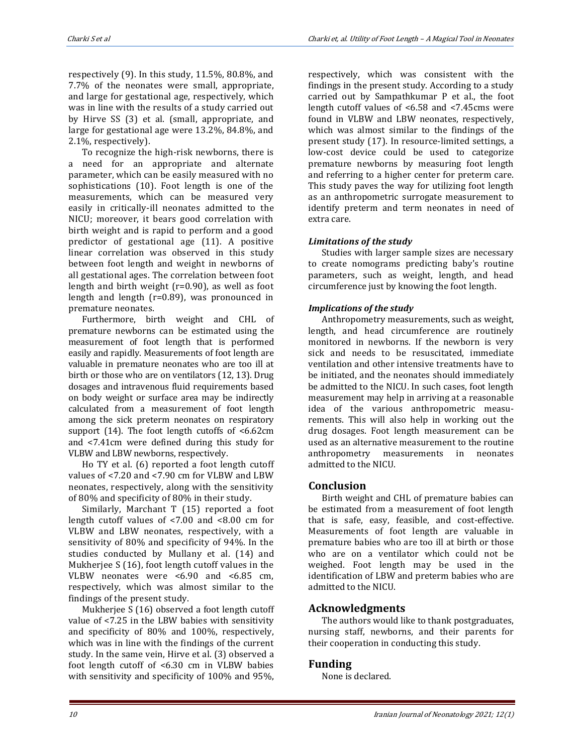respectively (9). In this study, 11.5%, 80.8%, and 7.7% of the neonates were small, appropriate, and large for gestational age, respectively, which was in line with the results of a study carried out by Hirve SS (3) et al. (small, appropriate, and large for gestational age were 13.2%, 84.8%, and 2.1%, respectively).

To recognize the high-risk newborns, there is a need for an appropriate and alternate parameter, which can be easily measured with no sophistications (10). Foot length is one of the measurements, which can be measured very easily in critically-ill neonates admitted to the NICU; moreover, it bears good correlation with birth weight and is rapid to perform and a good predictor of gestational age (11). A positive linear correlation was observed in this study between foot length and weight in newborns of all gestational ages. The correlation between foot length and birth weight (r=0.90), as well as foot length and length (r=0.89), was pronounced in premature neonates.

Furthermore, birth weight and CHL of premature newborns can be estimated using the measurement of foot length that is performed easily and rapidly. Measurements of foot length are valuable in premature neonates who are too ill at birth or those who are on ventilators (12, 13). Drug dosages and intravenous fluid requirements based on body weight or surface area may be indirectly calculated from a measurement of foot length among the sick preterm neonates on respiratory support (14). The foot length cutoffs of <6.62cm and <7.41cm were defined during this study for VLBW and LBW newborns, respectively.

Ho TY et al. (6) reported a foot length cutoff values of <7.20 and <7.90 cm for VLBW and LBW neonates, respectively, along with the sensitivity of 80% and specificity of 80% in their study.

Similarly, Marchant T (15) reported a foot length cutoff values of <7.00 and <8.00 cm for VLBW and LBW neonates, respectively, with a sensitivity of 80% and specificity of 94%. In the studies conducted by Mullany et al. (14) and Mukherjee S (16), foot length cutoff values in the VLBW neonates were <6.90 and <6.85 cm, respectively, which was almost similar to the findings of the present study.

Mukherjee S (16) observed a foot length cutoff value of <7.25 in the LBW babies with sensitivity and specificity of 80% and 100%, respectively, which was in line with the findings of the current study. In the same vein, Hirve et al. (3) observed a foot length cutoff of <6.30 cm in VLBW babies with sensitivity and specificity of 100% and 95%, respectively, which was consistent with the findings in the present study. According to a study carried out by Sampathkumar P et al., the foot length cutoff values of <6.58 and <7.45cms were found in VLBW and LBW neonates, respectively, which was almost similar to the findings of the present study (17). In resource-limited settings, a low-cost device could be used to categorize premature newborns by measuring foot length and referring to a higher center for preterm care. This study paves the way for utilizing foot length as an anthropometric surrogate measurement to identify preterm and term neonates in need of extra care.

# *Limitations of the study*

Studies with larger sample sizes are necessary to create nomograms predicting baby's routine parameters, such as weight, length, and head circumference just by knowing the foot length.

# *Implications of the study*

Anthropometry measurements, such as weight, length, and head circumference are routinely monitored in newborns. If the newborn is very sick and needs to be resuscitated, immediate ventilation and other intensive treatments have to be initiated, and the neonates should immediately be admitted to the NICU. In such cases, foot length measurement may help in arriving at a reasonable idea of the various anthropometric measurements. This will also help in working out the drug dosages. Foot length measurement can be used as an alternative measurement to the routine anthropometry measurements in neonates admitted to the NICU.

# **Conclusion**

Birth weight and CHL of premature babies can be estimated from a measurement of foot length that is safe, easy, feasible, and cost-effective. Measurements of foot length are valuable in premature babies who are too ill at birth or those who are on a ventilator which could not be weighed. Foot length may be used in the identification of LBW and preterm babies who are admitted to the NICU.

# **Acknowledgments**

The authors would like to thank postgraduates, nursing staff, newborns, and their parents for their cooperation in conducting this study.

# **Funding**

None is declared.